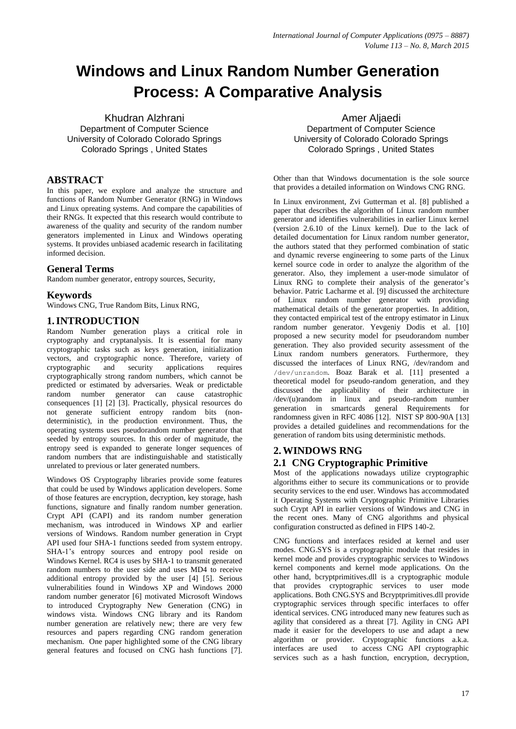# **Windows and Linux Random Number Generation Process: A Comparative Analysis**

Khudran Alzhrani Department of Computer Science University of Colorado Colorado Springs Colorado Springs , United States

# **ABSTRACT**

In this paper, we explore and analyze the structure and functions of Random Number Generator (RNG) in Windows and Linux opreating systems. And compare the capabilities of their RNGs. It expected that this research would contribute to awareness of the quality and security of the random number generators implemented in Linux and Windows operating systems. It provides unbiased academic research in facilitating informed decision.

# **General Terms**

Random number generator, entropy sources, Security,

## **Keywords**

Windows CNG, True Random Bits, Linux RNG,

# **1.INTRODUCTION**

Random Number generation plays a critical role in cryptography and cryptanalysis. It is essential for many cryptographic tasks such as keys generation, initialization vectors, and cryptographic nonce. Therefore, variety of cryptographic and security applications requires cryptographically strong random numbers, which cannot be predicted or estimated by adversaries. Weak or predictable random number generator can cause catastrophic consequences [1] [2] [3]. Practically, physical resources do not generate sufficient entropy random bits (nondeterministic), in the production environment. Thus, the operating systems uses pseudorandom number generator that seeded by entropy sources. In this order of magnitude, the entropy seed is expanded to generate longer sequences of random numbers that are indistinguishable and statistically unrelated to previous or later generated numbers.

Windows OS Cryptography libraries provide some features that could be used by Windows application developers. Some of those features are encryption, decryption, key storage, hash functions, signature and finally random number generation. Crypt API (CAPI) and its random number generation mechanism, was introduced in Windows XP and earlier versions of Windows. Random number generation in Crypt API used four SHA-1 functions seeded from system entropy. SHA-1's entropy sources and entropy pool reside on Windows Kernel. RC4 is uses by SHA-1 to transmit generated random numbers to the user side and uses MD4 to receive additional entropy provided by the user [4] [5]. Serious vulnerabilities found in Windows XP and Windows 2000 random number generator [6] motivated Microsoft Windows to introduced Cryptography New Generation (CNG) in windows vista. Windows CNG library and its Random number generation are relatively new; there are very few resources and papers regarding CNG random generation mechanism. One paper highlighted some of the CNG library general features and focused on CNG hash functions [7].

Amer Aljaedi Department of Computer Science University of Colorado Colorado Springs Colorado Springs , United States

Other than that Windows documentation is the sole source that provides a detailed information on Windows CNG RNG.

In Linux environment, Zvi Gutterman et al. [8] published a paper that describes the algorithm of Linux random number generator and identifies vulnerabilities in earlier Linux kernel (version 2.6.10 of the Linux kernel). Due to the lack of detailed documentation for Linux random number generator, the authors stated that they performed combination of static and dynamic reverse engineering to some parts of the Linux kernel source code in order to analyze the algorithm of the generator. Also, they implement a user-mode simulator of Linux RNG to complete their analysis of the generator's behavior. Patric Lacharme et al. [9] discussed the architecture of Linux random number generator with providing mathematical details of the generator properties. In addition, they contacted empirical test of the entropy estimator in Linux random number generator. Yevgeniy Dodis et al. [10] proposed a new security model for pseudorandom number generation. They also provided security assessment of the Linux random numbers generators. Furthermore, they discussed the interfaces of Linux RNG, /dev/random and /dev/unrandom. Boaz Barak et al. [11] presented a theoretical model for pseudo-random generation, and they discussed the applicability of their architecture in /dev/(u)random in linux and pseudo-random number generation in smartcards general Requirements for randomness given in RFC 4086 [12]. NIST SP 800-90A [13] provides a detailed guidelines and recommendations for the generation of random bits using deterministic methods.

# **2.WINDOWS RNG 2.1 CNG Cryptographic Primitive**

Most of the applications nowadays utilize cryptographic algorithms either to secure its communications or to provide security services to the end user. Windows has accommodated it Operating Systems with Cryptographic Primitive Libraries such Crypt API in earlier versions of Windows and CNG in the recent ones. Many of CNG algorithms and physical configuration constructed as defined in FIPS 140-2.

CNG functions and interfaces resided at kernel and user modes. CNG.SYS is a cryptographic module that resides in kernel mode and provides cryptographic services to Windows kernel components and kernel mode applications. On the other hand, bcryptprimitives.dll is a cryptographic module that provides cryptographic services to user mode applications. Both CNG.SYS and Bcryptprimitives.dll provide cryptographic services through specific interfaces to offer identical services. CNG introduced many new features such as agility that considered as a threat [7]. Agility in CNG API made it easier for the developers to use and adapt a new algorithm or provider. Cryptographic functions a.k.a. interfaces are used to access CNG API cryptographic services such as a hash function, encryption, decryption,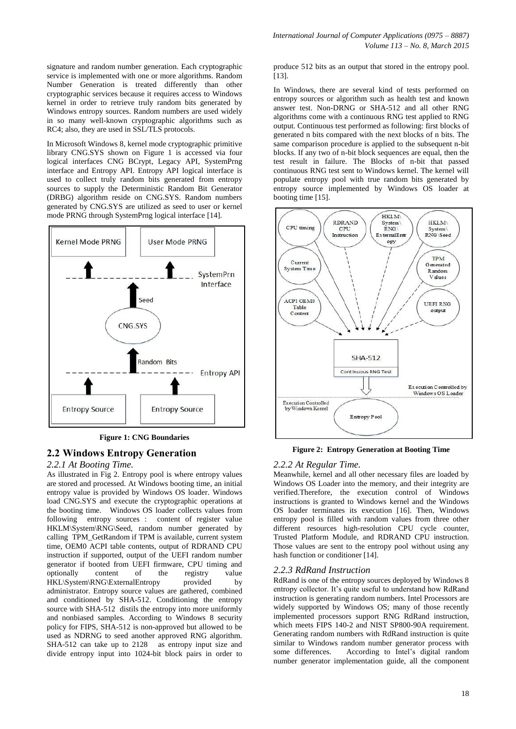signature and random number generation. Each cryptographic service is implemented with one or more algorithms. Random Number Generation is treated differently than other cryptographic services because it requires access to Windows kernel in order to retrieve truly random bits generated by Windows entropy sources. Random numbers are used widely in so many well-known cryptographic algorithms such as RC4; also, they are used in SSL/TLS protocols.

In Microsoft Windows 8, kernel mode cryptographic primitive library CNG.SYS shown on Figure 1 is accessed via four logical interfaces CNG BCrypt, Legacy API, SystemPrng interface and Entropy API. Entropy API logical interface is used to collect truly random bits generated from entropy sources to supply the Deterministic Random Bit Generator (DRBG) algorithm reside on CNG.SYS. Random numbers generated by CNG.SYS are utilized as seed to user or kernel mode PRNG through SystemPrng logical interface [14].



#### **Figure 1: CNG Boundaries**

# **2.2 Windows Entropy Generation**

#### *2.2.1 At Booting Time.*

As illustrated in Fig 2. Entropy pool is where entropy values are stored and processed. At Windows booting time, an initial entropy value is provided by Windows OS loader. Windows load CNG.SYS and execute the cryptographic operations at the booting time. Windows OS loader collects values from following entropy sources : content of register value HKLM\System\RNG\Seed, random number generated by calling TPM\_GetRandom if TPM is available, current system time, OEM0 ACPI table contents, output of RDRAND CPU instruction if supported, output of the UEFI random number generator if booted from UEFI firmware, CPU timing and optionally content of the registry value HKL\System\RNG\ExternalEntropy provided by administrator. Entropy source values are gathered, combined and conditioned by SHA-512. Conditioning the entropy source with SHA-512 distils the entropy into more uniformly and nonbiased samples. According to Windows 8 security policy for FIPS, SHA-512 is non-approved but allowed to be used as NDRNG to seed another approved RNG algorithm. SHA-512 can take up to 2128 as entropy input size and divide entropy input into 1024-bit block pairs in order to

produce 512 bits as an output that stored in the entropy pool. [13].

In Windows, there are several kind of tests performed on entropy sources or algorithm such as health test and known answer test. Non-DRNG or SHA-512 and all other RNG algorithms come with a continuous RNG test applied to RNG output. Continuous test performed as following: first blocks of generated n bits compared with the next blocks of n bits. The same comparison procedure is applied to the subsequent n-bit blocks. If any two of n-bit block sequences are equal, then the test result in failure. The Blocks of n-bit that passed continuous RNG test sent to Windows kernel. The kernel will populate entropy pool with true random bits generated by entropy source implemented by Windows OS loader at booting time [15].



#### **Figure 2: Entropy Generation at Booting Time**

#### *2.2.2 At Regular Time.*

Meanwhile, kernel and all other necessary files are loaded by Windows OS Loader into the memory, and their integrity are verified.Therefore, the execution control of Windows instructions is granted to Windows kernel and the Windows OS loader terminates its execution [16]. Then, Windows entropy pool is filled with random values from three other different resources high-resolution CPU cycle counter, Trusted Platform Module, and RDRAND CPU instruction. Those values are sent to the entropy pool without using any hash function or conditioner [14].

#### *2.2.3 RdRand Instruction*

RdRand is one of the entropy sources deployed by Windows 8 entropy collector. It's quite useful to understand how RdRand instruction is generating random numbers. Intel Processors are widely supported by Windows OS; many of those recently implemented processors support RNG RdRand instruction, which meets FIPS 140-2 and NIST SP800-90A requirement. Generating random numbers with RdRand instruction is quite similar to Windows random number generator process with some differences. According to Intel's digital random number generator implementation guide, all the component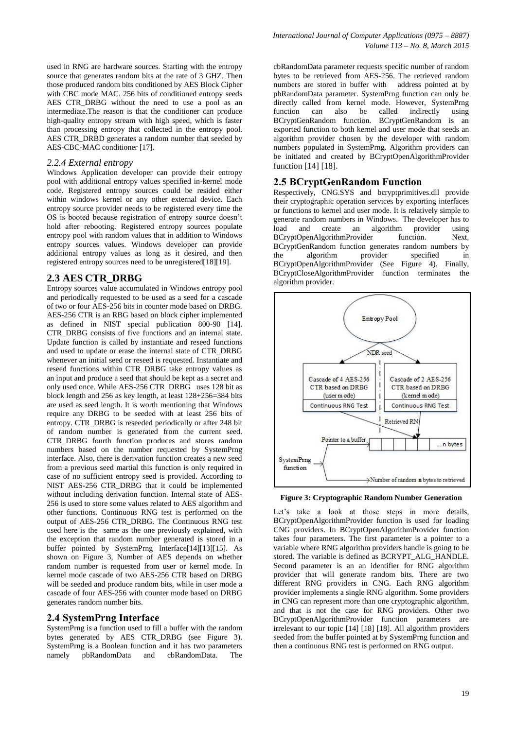used in RNG are hardware sources. Starting with the entropy source that generates random bits at the rate of 3 GHZ. Then those produced random bits conditioned by AES Block Cipher with CBC mode MAC. 256 bits of conditioned entropy seeds AES CTR DRBG without the need to use a pool as an intermediate.The reason is that the conditioner can produce high-quality entropy stream with high speed, which is faster than processing entropy that collected in the entropy pool. AES CTR\_DRBD generates a random number that seeded by AES-CBC-MAC conditioner [17].

#### *2.2.4 External entropy*

Windows Application developer can provide their entropy pool with additional entropy values specified in-kernel mode code. Registered entropy sources could be resided either within windows kernel or any other external device. Each entropy source provider needs to be registered every time the OS is booted because registration of entropy source doesn't hold after rebooting. Registered entropy sources populate entropy pool with random values that in addition to Windows entropy sources values. Windows developer can provide additional entropy values as long as it desired, and then registered entropy sources need to be unregistered[18][19].

#### **2.3 AES CTR\_DRBG**

Entropy sources value accumulated in Windows entropy pool and periodically requested to be used as a seed for a cascade of two or four AES-256 bits in counter mode based on DRBG. AES-256 CTR is an RBG based on block cipher implemented as defined in NIST special publication 800-90 [14]. CTR\_DRBG consists of five functions and an internal state. Update function is called by instantiate and reseed functions and used to update or erase the internal state of CTR\_DRBG whenever an initial seed or reseed is requested. Instantiate and reseed functions within CTR\_DRBG take entropy values as an input and produce a seed that should be kept as a secret and only used once. While AES-256 CTR\_DRBG uses 128 bit as block length and 256 as key length, at least 128+256=384 bits are used as seed length. It is worth mentioning that Windows require any DRBG to be seeded with at least 256 bits of entropy. CTR\_DRBG is reseeded periodically or after 248 bit of random number is generated from the current seed. CTR\_DRBG fourth function produces and stores random numbers based on the number requested by SystemPrng interface. Also, there is derivation function creates a new seed from a previous seed martial this function is only required in case of no sufficient entropy seed is provided. According to NIST AES-256 CTR\_DRBG that it could be implemented without including derivation function. Internal state of AES-256 is used to store some values related to AES algorithm and other functions. Continuous RNG test is performed on the output of AES-256 CTR\_DRBG. The Continuous RNG test used here is the same as the one previously explained, with the exception that random number generated is stored in a buffer pointed by SystemPrng Interface[14][13][15]. As shown on Figure 3, Number of AES depends on whether random number is requested from user or kernel mode. In kernel mode cascade of two AES-256 CTR based on DRBG will be seeded and produce random bits, while in user mode a cascade of four AES-256 with counter mode based on DRBG generates random number bits.

#### **2.4 SystemPrng Interface**

SystemPrng is a function used to fill a buffer with the random bytes generated by AES CTR\_DRBG (see Figure 3). SystemPrng is a Boolean function and it has two parameters namely pbRandomData and cbRandomData. The

cbRandomData parameter requests specific number of random bytes to be retrieved from AES-256. The retrieved random numbers are stored in buffer with address pointed at by pbRandomData parameter. SystemPrng function can only be directly called from kernel mode. However, SystemPrng function can also be called indirectly using BCryptGenRandom function. BCryptGenRandom is an exported function to both kernel and user mode that seeds an algorithm provider chosen by the developer with random numbers populated in SystemPrng. Algorithm providers can be initiated and created by BCryptOpenAlgorithmProvider function [14] [18].

#### **2.5 BCryptGenRandom Function**

Respectively, CNG.SYS and bcryptprimitives.dll provide their cryptographic operation services by exporting interfaces or functions to kernel and user mode. It is relatively simple to generate random numbers in Windows. The developer has to load and create an algorithm provider using BCryptOpenAlgorithmProvider function. Next, BCryptGenRandom function generates random numbers by the algorithm provider specified in BCryptOpenAlgorithmProvider (See Figure 4). Finally, [BCryptCloseAlgorithmProvider](http://msdn.microsoft.com/en-us/library/windows/desktop/aa375377(v=vs.85).aspx) function terminates the algorithm provider.



**Figure 3: Cryptographic Random Number Generation**

Let's take a look at those steps in more details, BCryptOpenAlgorithmProvider function is used for loading CNG providers. In BCryptOpenAlgorithmProvider function takes four parameters. The first parameter is a pointer to a variable where RNG algorithm providers handle is going to be stored. The variable is defined as BCRYPT\_ALG\_HANDLE. Second parameter is an an identifier for RNG algorithm provider that will generate random bits. There are two different RNG providers in CNG. Each RNG algorithm provider implements a single RNG algorithm. Some providers in CNG can represent more than one cryptographic algorithm, and that is not the case for RNG providers. Other two BCryptOpenAlgorithmProvider function parameters are irrelevant to our topic [14] [18] [18]. All algorithm providers seeded from the buffer pointed at by SystemPrng function and then a continuous RNG test is performed on RNG output.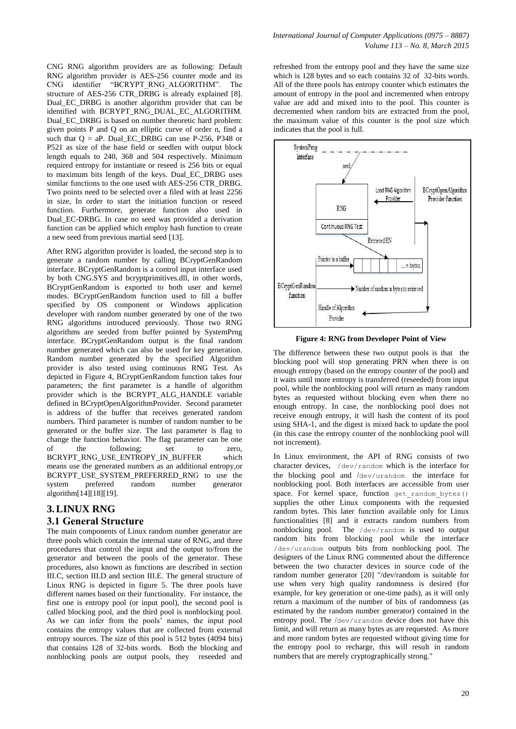CNG RNG algorithm providers are as following: Default RNG algorithm provider is AES-256 counter mode and its CNG identifier "BCRYPT\_RNG\_ALGORITHM". The structure of AES-256 CTR\_DRBG is already explained [8]. Dual EC DRBG is another algorithm provider that can be identified with BCRYPT\_RNG\_DUAL\_EC\_ALGORITHM. Dual\_EC\_DRBG is based on number theoretic hard problem: given points P and Q on an elliptic curve of order n, find a such that  $Q = aP$ . Dual EC DRBG can use P-256, P348 or P521 as size of the base field or seedlen with output block length equals to 240, 368 and 504 respectively. Minimum required entropy for instantiate or reseed is 256 bits or equal to maximum bits length of the keys. Dual\_EC\_DRBG uses similar functions to the one used with AES-256 CTR\_DRBG. Two points need to be selected over a filed with at least 2256 in size, In order to start the initiation function or reseed function. Furthermore, generate function also used in Dual\_EC-DRBG. In case no seed was provided a derivation function can be applied which employ hash function to create a new seed from previous martial seed [13].

After RNG algorithm provider is loaded, the second step is to generate a random number by calling BCryptGenRandom interface. BCryptGenRandom is a control input interface used by both CNG.SYS and bcryptprimitives.dll, in other words, BCryptGenRandom is exported to both user and kernel modes. BCryptGenRandom function used to fill a buffer specified by OS component or Windows application developer with random number generated by one of the two RNG algorithms introduced previously. Those two RNG algorithms are seeded from buffer pointed by SystemPrng interface. BCryptGenRandom output is the final random number generated which can also be used for key generation. Random number generated by the specified Algorithm provider is also tested using continuous RNG Test. As depicted in Figure 4, BCryptGenRandom function takes four parameters; the first parameter is a handle of algorithm provider which is the BCRYPT\_ALG\_HANDLE variable defined in BCryptOpenAlgorithmProvider. Second parameter is address of the buffer that receives generated random numbers. Third parameter is number of random number to be generated or the buffer size. The last parameter is flag to change the function behavior. The flag parameter can be one of the following; set to zero, BCRYPT\_RNG\_USE\_ENTROPY\_IN\_BUFFER which means use the generated numbers as an additional entropy,or BCRYPT\_USE\_SYSTEM\_PREFERRED\_RNG to use the system preferred random number generator algorithm[14][18][19].

# **3.LINUX RNG 3.1 General Structure**

The main components of Linux random number generator are three pools which contain the internal state of RNG, and three procedures that control the input and the output to/from the generator and between the pools of the generator. These procedures, also known as functions are described in section III.C, section III.D and section III.E. The general structure of Linux RNG is depicted in figure 5. The three pools have different names based on their functionality. For instance, the first one is entropy pool (or input pool), the second pool is called blocking pool, and the third pool is nonblocking pool. As we can infer from the pools' names, the input pool contains the entropy values that are collected from external entropy sources. The size of this pool is 512 bytes (4094 bits) that contains 128 of 32-bits words. Both the blocking and nonblocking pools are output pools, they reseeded and

refreshed from the entropy pool and they have the same size which is 128 bytes and so each contains 32 of 32-bits words. All of the three pools has entropy counter which estimates the amount of entropy in the pool and incremented when entropy value are add and mixed into to the pool. This counter is decremented when random bits are extracted from the pool, the maximum value of this counter is the pool size which indicates that the pool is full.



**Figure 4: RNG from Developer Point of View**

The difference between these two output pools is that the blocking pool will stop generating PRN when there is on enough entropy (based on the entropy counter of the pool) and it waits until more entropy is transferred (reseeded) from input pool, while the nonblocking pool will return as many random bytes as requested without blocking even when there no enough entropy. In case, the nonblocking pool does not receive enough entropy, it will hash the content of its pool using SHA-1, and the digest is mixed back to update the pool (in this case the entropy counter of the nonblocking pool will not increment).

In Linux environment, the API of RNG consists of two character devices, /dev/random which is the interface for the blocking pool and /dev/urandom the interface for nonblocking pool. Both interfaces are accessible from user space. For kernel space, function  $get$  random bytes() supplies the other Linux components with the requested random bytes. This later function available only for Linux functionalities [8] and it extracts random numbers from nonblocking pool. The /dev/random is used to output random bits from blocking pool while the interface /dev/urandom outputs bits from nonblocking pool. The designers of the Linux RNG commented about the difference between the two character devices in source code of the random number generator [20] "/dev/random is suitable for use when very high quality randomness is desired (for example, for key generation or one-time pads), as it will only return a maximum of the number of bits of randomness (as estimated by the random number generator) contained in the entropy pool. The /dev/urandom device does not have this limit, and will return as many bytes as are requested. As more and more random bytes are requested without giving time for the entropy pool to recharge, this will result in random numbers that are merely cryptographically strong."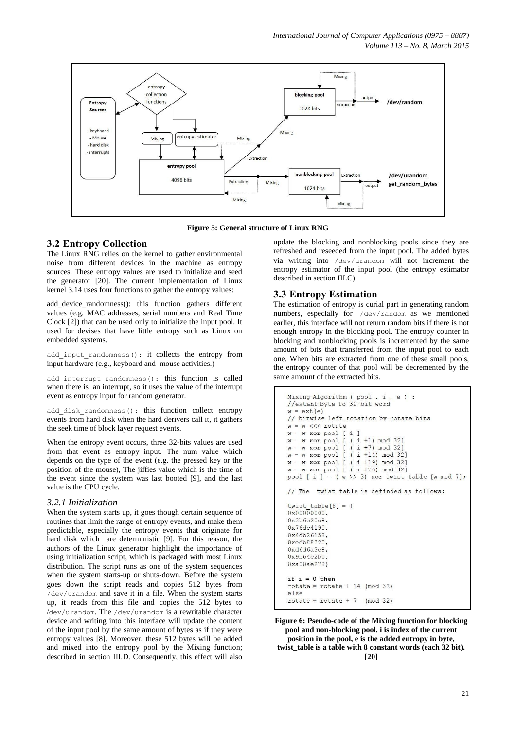

**Figure 5: General structure of Linux RNG**

#### **3.2 Entropy Collection**

The Linux RNG relies on the kernel to gather environmental noise from different devices in the machine as entropy sources. These entropy values are used to initialize and seed the generator [20]. The current implementation of Linux kernel 3.14 uses four functions to gather the entropy values:

add device randomness(): this function gathers different values (e.g. MAC addresses, serial numbers and Real Time Clock [2]) that can be used only to initialize the input pool. It used for devises that have little entropy such as Linux on embedded systems.

add input randomness(): it collects the entropy from input hardware (e.g., keyboard and mouse activities.)

add interrupt randomness(): this function is called when there is an interrupt, so it uses the value of the interrupt event as entropy input for random generator.

add disk randomness(): this function collect entropy events from hard disk when the hard derivers call it, it gathers the seek time of block layer request events.

When the entropy event occurs, three 32-bits values are used from that event as entropy input. The num value which depends on the type of the event (e.g. the pressed key or the position of the mouse), The jiffies value which is the time of the event since the system was last booted [9], and the last value is the CPU cycle.

#### *3.2.1 Initialization*

When the system starts up, it goes though certain sequence of routines that limit the range of entropy events, and make them predictable, especially the entropy events that originate for hard disk which are deterministic [9]. For this reason, the authors of the Linux generator highlight the importance of using initialization script, which is packaged with most Linux distribution. The script runs as one of the system sequences when the system starts-up or shuts-down. Before the system goes down the script reads and copies 512 bytes from /dev/urandom and save it in a file. When the system starts up, it reads from this file and copies the 512 bytes to /dev/urandom. The /dev/urandom is a rewritable character device and writing into this interface will update the content of the input pool by the same amount of bytes as if they were entropy values [8]. Moreover, these 512 bytes will be added and mixed into the entropy pool by the Mixing function; described in section III.D. Consequently, this effect will also

update the blocking and nonblocking pools since they are refreshed and reseeded from the input pool. The added bytes via writing into /dev/urandom will not increment the entropy estimator of the input pool (the entropy estimator described in section III.C).

#### **3.3 Entropy Estimation**

The estimation of entropy is curial part in generating random numbers, especially for /dev/random as we mentioned earlier, this interface will not return random bits if there is not enough entropy in the blocking pool. The entropy counter in blocking and nonblocking pools is incremented by the same amount of bits that transferred from the input pool to each one. When bits are extracted from one of these small pools, the entropy counter of that pool will be decremented by the same amount of the extracted bits.

```
Mixing Algorithm ( pool, i, e) :
//extent byte to 32-bit word
w = ext(e)// bitwise left rotation by rotate bits
w = w \ll \sqrt{x}w = w xor pool [ i
w = w \nvert xor pool
                 (i + 1) \mod 32Ĩ.
                 (i + 7) \mod 32w = w xor pool
               \Gammaw = w xor pool
               [ (i +14) mod 32]w = w xor pool
               [ (i +19) mod 32]w = w xor pool [ ( i +26) mod 32]
pool [ i ] = (w \gg 3) xor twist table [w mod 7];
// The twist table is definded as follows:
twist table[8] = {
0x000000000,0x3b6e20c80x76dc4190
0x4db26158
0xedb88320.
0xd6d6a3e80x9b64c2b00xa00ae278)
if i = 0 then
rotate = rotate + 14 \pmod{32}else
rotate = rotate + 7 \pmod{32}
```
**Figure 6: Pseudo-code of the Mixing function for blocking pool and non-blocking pool. i is index of the current position in the pool, e is the added entropy in byte, twist\_table is a table with 8 constant words (each 32 bit).**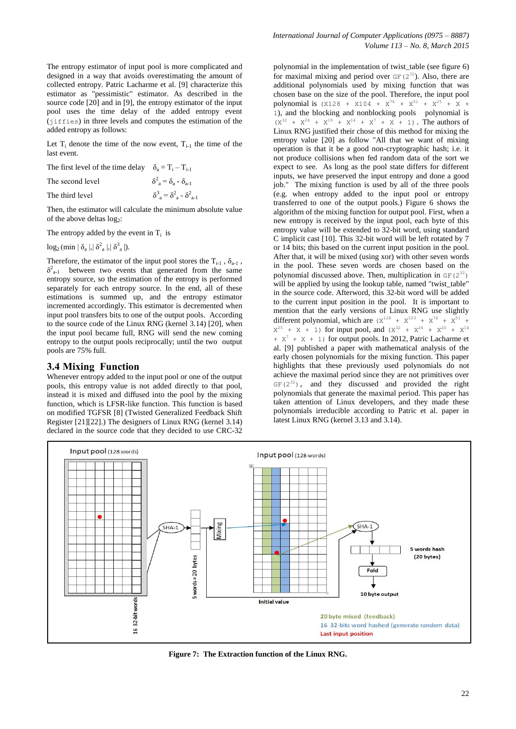The entropy estimator of input pool is more complicated and designed in a way that avoids overestimating the amount of collected entropy. Patric Lacharme et al. [9] characterize this estimator as "pessimistic" estimator. As described in the source code  $[20]$  and in  $[9]$ , the entropy estimator of the input pool uses the time delay of the added entropy event (iiffies) in three levels and computes the estimation of the added entropy as follows:

Let  $T_i$  denote the time of the now event,  $T_{i-1}$  the time of the last event.

| The first level of the time delay $\delta_2 = T_i - T_{i-1}$ |                                                                         |
|--------------------------------------------------------------|-------------------------------------------------------------------------|
| The second level                                             | $\delta^2_{\mathbf{a}} = \delta_{\mathbf{a}} - \delta_{\mathbf{a} - 1}$ |
| The third level                                              | $\delta^3_{\ a} = \delta^2_{\ a} - \delta^2_{\ a-1}$                    |

Then, the estimator will calculate the minimum absolute value of the above deltas log<sub>2</sub>:

The entropy added by the event in  $T_i$  is

 $log_2$  (min  $|\delta_a|, |\delta^2_a|, |\delta^3_a|$ ).

Therefore, the estimator of the input pool stores the  $T_{i-1}$ ,  $\delta_{a-1}$ ,  $\delta^2_{a-1}$  between two events that generated from the same entropy source, so the estimation of the entropy is performed separately for each entropy source. In the end, all of these estimations is summed up, and the entropy estimator incremented accordingly. This estimator is decremented when input pool transfers bits to one of the output pools. According to the source code of the Linux RNG (kernel 3.14) [20], when the input pool became full, RNG will send the new coming entropy to the output pools reciprocally; until the two output pools are 75% full.

#### **3.4 Mixing Function**

Whenever entropy added to the input pool or one of the output pools, this entropy value is not added directly to that pool, instead it is mixed and diffused into the pool by the mixing function, which is LFSR-like function. This function is based on modified TGFSR [8] (Twisted Generalized Feedback Shift Register [21][22].) The designers of Linux RNG (kernel 3.14) declared in the source code that they decided to use CRC-32

polynomial in the implementation of twist\_table (see figure 6) for maximal mixing and period over  $GF(2^{32})$ . Also, there are additional polynomials used by mixing function that was chosen base on the size of the pool. Therefore, the input pool polynomial is  $(X128 + X104 + X^{76} + X^{51} + X^{25} + X +$ 1), and the blocking and nonblocking pools polynomial is  $(X^{32} + X^{26} + X^{19} + X^{14} + X^{7} + X + 1)$ . The authors of Linux RNG justified their chose of this method for mixing the entropy value [20] as follow "All that we want of mixing operation is that it be a good non-cryptographic hash; i.e. it not produce collisions when fed random data of the sort we expect to see. As long as the pool state differs for different inputs, we have preserved the input entropy and done a good job." The mixing function is used by all of the three pools (e.g. when entropy added to the input pool or entropy transferred to one of the output pools.) Figure 6 shows the algorithm of the mixing function for output pool. First, when a new entropy is received by the input pool, each byte of this entropy value will be extended to 32-bit word, using standard C implicit cast [10]. This 32-bit word will be left rotated by 7 or 14 bits; this based on the current input position in the pool. After that, it will be mixed (using xor) with other seven words in the pool. These seven words are chosen based on the polynomial discussed above. Then, multiplication in  $GF(2^{32})$ will be applied by using the lookup table, named "twist\_table" in the source code. Afterword, this 32-bit word will be added to the current input position in the pool. It is important to mention that the early versions of Linux RNG use slightly different polynomial, which are  $(X^{128} + X^{103} + X^{76} + X^{51} +$  $X^{25}$  + X + 1) for input pool, and  $(X^{32} + X^{26} + X^{20} + X^{14})$  $+ X^7 + X + 1$  for output pools. In 2012, Patric Lacharme et al. [9] published a paper with mathematical analysis of the early chosen polynomials for the mixing function. This paper highlights that these previously used polynomials do not achieve the maximal period since they are not primitives over  $GF(2^{32})$ , and they discussed and provided the right polynomials that generate the maximal period. This paper has taken attention of Linux developers, and they made these polynomials irreducible according to Patric et al. paper in latest Linux RNG (kernel 3.13 and 3.14).



**Figure 7: The Extraction function of the Linux RNG.**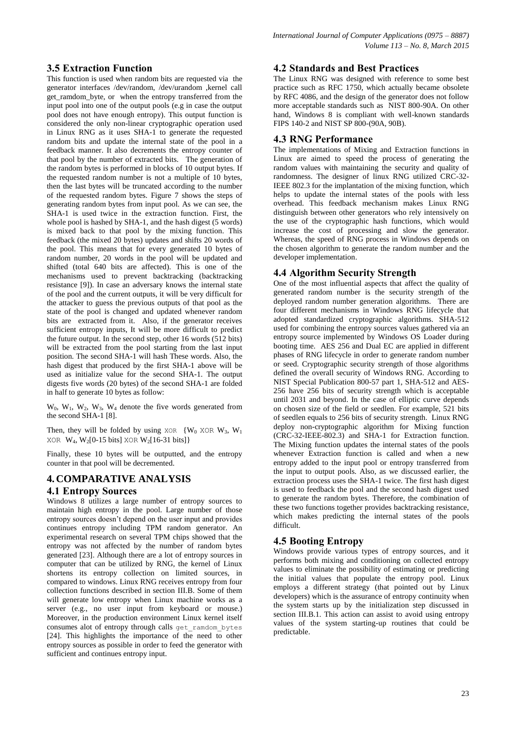# **3.5 Extraction Function**

This function is used when random bits are requested via the generator interfaces /dev/random, /dev/urandom ,kernel call get\_ramdom\_byte, or when the entropy transferred from the input pool into one of the output pools (e.g in case the output pool does not have enough entropy). This output function is considered the only non-linear cryptographic operation used in Linux RNG as it uses SHA-1 to generate the requested random bits and update the internal state of the pool in a feedback manner. It also decrements the entropy counter of that pool by the number of extracted bits. The generation of the random bytes is performed in blocks of 10 output bytes. If the requested random number is not a multiple of 10 bytes, then the last bytes will be truncated according to the number of the requested random bytes. Figure 7 shows the steps of generating random bytes from input pool. As we can see, the SHA-1 is used twice in the extraction function. First, the whole pool is hashed by SHA-1, and the hash digest (5 words) is mixed back to that pool by the mixing function. This feedback (the mixed 20 bytes) updates and shifts 20 words of the pool. This means that for every generated 10 bytes of random number, 20 words in the pool will be updated and shifted (total 640 bits are affected). This is one of the mechanisms used to prevent backtracking (backtracking resistance [9]). In case an adversary knows the internal state of the pool and the current outputs, it will be very difficult for the attacker to guess the previous outputs of that pool as the state of the pool is changed and updated whenever random bits are extracted from it. Also, if the generator receives sufficient entropy inputs, It will be more difficult to predict the future output. In the second step, other 16 words (512 bits) will be extracted from the pool starting from the last input position. The second SHA-1 will hash These words. Also, the hash digest that produced by the first SHA-1 above will be used as initialize value for the second SHA-1. The output digests five words (20 bytes) of the second SHA-1 are folded in half to generate 10 bytes as follow:

 $W_0$ ,  $W_1$ ,  $W_2$ ,  $W_3$ ,  $W_4$  denote the five words generated from the second SHA-1 [8].

Then, they will be folded by using  $XOR$  {W<sub>0</sub> XOR W<sub>3</sub>, W<sub>1</sub> XOR  $W_4$ ,  $W_2[0-15 \text{ bits}]$  XOR  $W_2[16-31 \text{ bits}]$ 

Finally, these 10 bytes will be outputted, and the entropy counter in that pool will be decremented.

## **4. COMPARATIVE ANALYSIS**

#### **4.1 Entropy Sources**

Windows 8 utilizes a large number of entropy sources to maintain high entropy in the pool. Large number of those entropy sources doesn't depend on the user input and provides continues entropy including TPM random generator. An experimental research on several TPM chips showed that the entropy was not affected by the number of random bytes generated [23]. Although there are a lot of entropy sources in computer that can be utilized by RNG, the kernel of Linux shortens its entropy collection on limited sources, in compared to windows. Linux RNG receives entropy from four collection functions described in section III.B. Some of them will generate low entropy when Linux machine works as a server (e.g., no user input from keyboard or mouse.) Moreover, in the production environment Linux kernel itself consumes alot of entropy through calls get\_ramdom\_bytes [24]. This highlights the importance of the need to other entropy sources as possible in order to feed the generator with sufficient and continues entropy input.

#### **4.2 Standards and Best Practices**

The Linux RNG was designed with reference to some best practice such as RFC 1750, which actually became obsolete by RFC 4086, and the design of the generator does not follow more acceptable standards such as NIST 800-90A. On other hand, Windows 8 is compliant with well-known standards FIPS 140-2 and NIST SP 800-(90A, 90B).

#### **4.3 RNG Performance**

The implementations of Mixing and Extraction functions in Linux are aimed to speed the process of generating the random values with maintaining the security and quality of randomness. The designer of linux RNG utilized CRC-32- IEEE 802.3 for the implantation of the mixing function, which helps to update the internal states of the pools with less overhead. This feedback mechanism makes Linux RNG distinguish between other generators who rely intensively on the use of the cryptographic hash functions, which would increase the cost of processing and slow the generator. Whereas, the speed of RNG process in Windows depends on the chosen algorithm to generate the random number and the developer implementation.

#### **4.4 Algorithm Security Strength**

One of the most influential aspects that affect the quality of generated random number is the security strength of the deployed random number generation algorithms. There are four different mechanisms in Windows RNG lifecycle that adopted standardized cryptographic algorithms. SHA-512 used for combining the entropy sources values gathered via an entropy source implemented by Windows OS Loader during booting time. AES 256 and Dual EC are applied in different phases of RNG lifecycle in order to generate random number or seed. Cryptographic security strength of those algorithms defined the overall security of Windows RNG. According to NIST Special Publication 800-57 part 1, SHA-512 and AES-256 have 256 bits of security strength which is acceptable until 2031 and beyond. In the case of elliptic curve depends on chosen size of the field or seedlen. For example, 521 bits of seedlen equals to 256 bits of security strength. Linux RNG deploy non-cryptographic algorithm for Mixing function (CRC-32-IEEE-802.3) and SHA-1 for Extraction function. The Mixing function updates the internal states of the pools whenever Extraction function is called and when a new entropy added to the input pool or entropy transferred from the input to output pools. Also, as we discussed earlier, the extraction process uses the SHA-1 twice. The first hash digest is used to feedback the pool and the second hash digest used to generate the random bytes. Therefore, the combination of these two functions together provides backtracking resistance, which makes predicting the internal states of the pools difficult.

## **4.5 Booting Entropy**

Windows provide various types of entropy sources, and it performs both mixing and conditioning on collected entropy values to eliminate the possibility of estimating or predicting the initial values that populate the entropy pool. Linux employs a different strategy (that pointed out by Linux developers) which is the assurance of entropy continuity when the system starts up by the initialization step discussed in section III.B.1. This action can assist to avoid using entropy values of the system starting-up routines that could be predictable.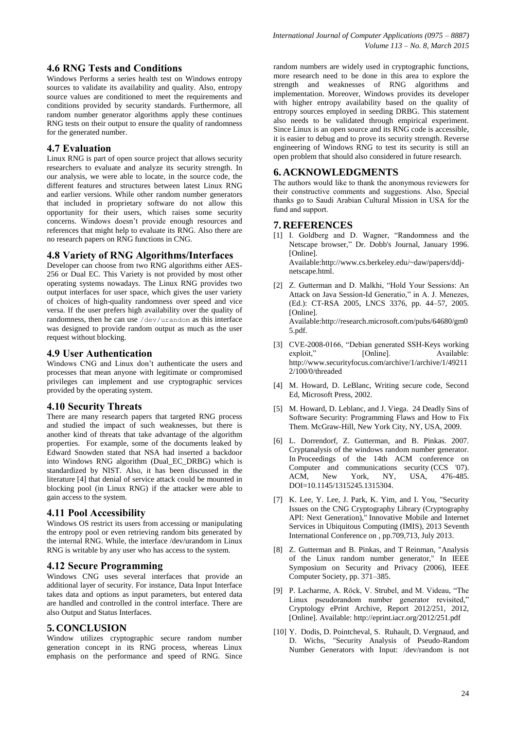Windows Performs a series health test on Windows entropy sources to validate its availability and quality. Also, entropy source values are conditioned to meet the requirements and conditions provided by security standards. Furthermore, all random number generator algorithms apply these continues RNG tests on their output to ensure the quality of randomness for the generated number.

# **4.7 Evaluation**

Linux RNG is part of open source project that allows security researchers to evaluate and analyze its security strength. In our analysis, we were able to locate, in the source code, the different features and structures between latest Linux RNG and earlier versions. While other random number generators that included in proprietary software do not allow this opportunity for their users, which raises some security concerns. Windows doesn't provide enough resources and references that might help to evaluate its RNG. Also there are no research papers on RNG functions in CNG.

## **4.8 Variety of RNG Algorithms/Interfaces**

Developer can choose from two RNG algorithms either AES-256 or Dual EC. This Variety is not provided by most other operating systems nowadays. The Linux RNG provides two output interfaces for user space, which gives the user variety of choices of high-quality randomness over speed and vice versa. If the user prefers high availability over the quality of randomness, then he can use /dev/urandom as this interface was designed to provide random output as much as the user request without blocking.

## **4.9 User Authentication**

Windows CNG and Linux don't authenticate the users and processes that mean anyone with legitimate or compromised privileges can implement and use cryptographic services provided by the operating system.

## **4.10 Security Threats**

There are many research papers that targeted RNG process and studied the impact of such weaknesses, but there is another kind of threats that take advantage of the algorithm properties. For example, some of the documents leaked by Edward Snowden stated that NSA had inserted a backdoor into Windows RNG algorithm (Dual\_EC\_DRBG) which is standardized by NIST. Also, it has been discussed in the literature [4] that denial of service attack could be mounted in blocking pool (in Linux RNG) if the attacker were able to gain access to the system.

## **4.11 Pool Accessibility**

Windows OS restrict its users from accessing or manipulating the entropy pool or even retrieving random bits generated by the internal RNG. While, the interface /dev/urandom in Linux RNG is writable by any user who has access to the system.

## **4.12 Secure Programming**

Windows CNG uses several interfaces that provide an additional layer of security. For instance, Data Input Interface takes data and options as input parameters, but entered data are handled and controlled in the control interface. There are also Output and Status Interfaces.

## **5. CONCLUSION**

Window utilizes cryptographic secure random number generation concept in its RNG process, whereas Linux emphasis on the performance and speed of RNG. Since random numbers are widely used in cryptographic functions, more research need to be done in this area to explore the strength and weaknesses of RNG algorithms and implementation. Moreover, Windows provides its developer with higher entropy availability based on the quality of entropy sources employed in seeding DRBG. This statement also needs to be validated through empirical experiment. Since Linux is an open source and its RNG code is accessible, it is easier to debug and to prove its security strength. Reverse engineering of Windows RNG to test its security is still an open problem that should also considered in future research.

# **6. ACKNOWLEDGMENTS**

The authors would like to thank the anonymous reviewers for their constructive comments and suggestions. Also, Special thanks go to Saudi Arabian Cultural Mission in USA for the fund and support.

# **7. REFERENCES**

- [1] I. Goldberg and D. Wagner, "Randomness and the Netscape browser," Dr. Dobb's Journal, January 1996. [Online]. Available:http://www.cs.berkeley.edu/~daw/papers/ddjnetscape.html.
- [2] Z. Gutterman and D. Malkhi, "Hold Your Sessions: An Attack on Java Session-Id Generatio," in A. J. Menezes, (Ed.): CT-RSA 2005, LNCS 3376, pp. 44–57, 2005. [Online]. Available:http://research.microsoft.com/pubs/64680/gm0

5.pdf.

- [3] CVE-2008-0166, "Debian generated SSH-Keys working [Online]. Available: http://www.securityfocus.com/archive/1/archive/1/49211 2/100/0/threaded
- [4] M. Howard, D. LeBlanc, Writing secure code, Second Ed, Microsoft Press, 2002.
- [5] M. Howard, D. Leblanc, and J. Viega. 24 Deadly Sins of Software Security: Programming Flaws and How to Fix Them. McGraw-Hill, New York City, NY, USA, 2009.
- [6] L. Dorrendorf, Z. Gutterman, and B. Pinkas. 2007. Cryptanalysis of the windows random number generator. In Proceedings of the 14th ACM conference on Computer and communications security (CCS '07). ACM, New York, NY, USA, 476-485. DOI=10.1145/1315245.1315304.
- [7] K. Lee, Y. Lee, J. Park, K. Yim, and I. You, "Security Issues on the CNG Cryptography Library (Cryptography API: Next Generation)," Innovative Mobile and Internet Services in Ubiquitous Computing (IMIS), 2013 Seventh International Conference on , pp.709,713, July 2013.
- [8] Z. Gutterman and B. Pinkas, and T Reinman, "Analysis of the Linux random number generator," In IEEE Symposium on Security and Privacy (2006), IEEE Computer Society, pp. 371–385.
- [9] P. Lacharme, A. Röck, V. Strubel, and M. Videau, "The Linux pseudorandom number generator revisited," Cryptology ePrint Archive, Report 2012/251, 2012, [Online]. Available: http://eprint.iacr.org/2012/251.pdf
- [10] Y. Dodis, D. Pointcheval, S. Ruhault, D. Vergnaud, and D. Wichs, "Security Analysis of Pseudo-Random Number Generators with Input: /dev/random is not